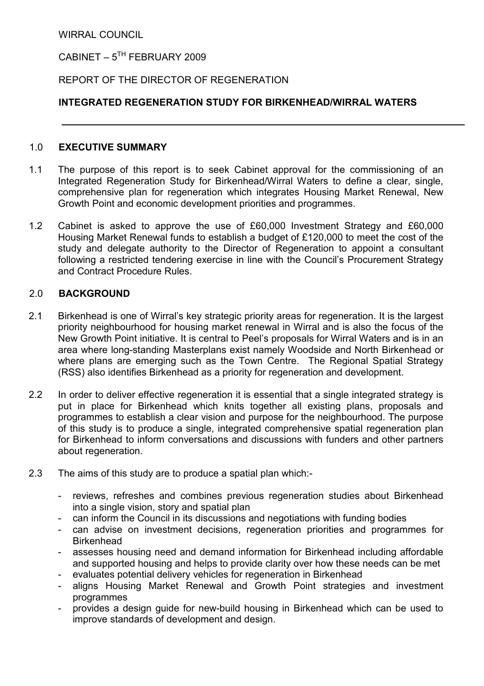WIRRAL COUNCIL

CABINET –  $5^{TH}$  FEBRUARY 2009

# REPORT OF THE DIRECTOR OF REGENERATION

# INTEGRATED REGENERATION STUDY FOR BIRKENHEAD/WIRRAL WATERS

# 1.0 EXECUTIVE SUMMARY

- 1.1 The purpose of this report is to seek Cabinet approval for the commissioning of an Integrated Regeneration Study for Birkenhead/Wirral Waters to define a clear, single, comprehensive plan for regeneration which integrates Housing Market Renewal, New Growth Point and economic development priorities and programmes.
- 1.2 Cabinet is asked to approve the use of £60,000 Investment Strategy and £60,000 Housing Market Renewal funds to establish a budget of £120,000 to meet the cost of the study and delegate authority to the Director of Regeneration to appoint a consultant following a restricted tendering exercise in line with the Council's Procurement Strategy and Contract Procedure Rules.

# 2.0 BACKGROUND

- 2.1 Birkenhead is one of Wirral's key strategic priority areas for regeneration. It is the largest priority neighbourhood for housing market renewal in Wirral and is also the focus of the New Growth Point initiative. It is central to Peel's proposals for Wirral Waters and is in an area where long-standing Masterplans exist namely Woodside and North Birkenhead or where plans are emerging such as the Town Centre. The Regional Spatial Strategy (RSS) also identifies Birkenhead as a priority for regeneration and development.
- 2.2 In order to deliver effective regeneration it is essential that a single integrated strategy is put in place for Birkenhead which knits together all existing plans, proposals and programmes to establish a clear vision and purpose for the neighbourhood. The purpose of this study is to produce a single, integrated comprehensive spatial regeneration plan for Birkenhead to inform conversations and discussions with funders and other partners about regeneration.
- 2.3 The aims of this study are to produce a spatial plan which:-
	- reviews, refreshes and combines previous regeneration studies about Birkenhead into a single vision, story and spatial plan
	- can inform the Council in its discussions and negotiations with funding bodies
	- can advise on investment decisions, regeneration priorities and programmes for **Birkenhead**
	- assesses housing need and demand information for Birkenhead including affordable and supported housing and helps to provide clarity over how these needs can be met
	- evaluates potential delivery vehicles for regeneration in Birkenhead
	- aligns Housing Market Renewal and Growth Point strategies and investment programmes
	- provides a design guide for new-build housing in Birkenhead which can be used to improve standards of development and design.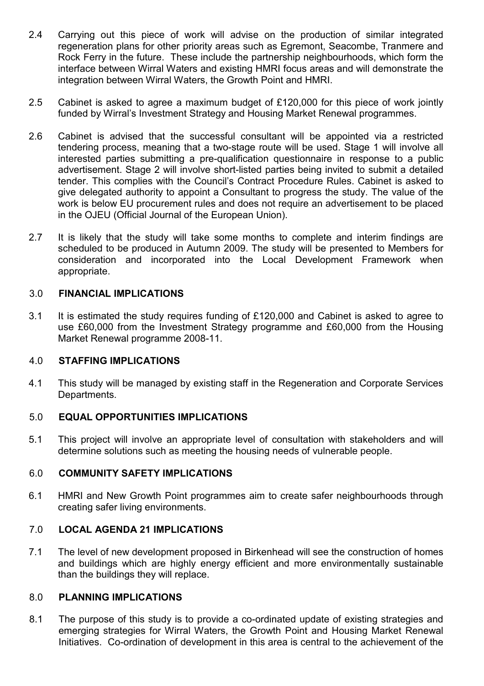- 2.4 Carrying out this piece of work will advise on the production of similar integrated regeneration plans for other priority areas such as Egremont, Seacombe, Tranmere and Rock Ferry in the future. These include the partnership neighbourhoods, which form the interface between Wirral Waters and existing HMRI focus areas and will demonstrate the integration between Wirral Waters, the Growth Point and HMRI.
- 2.5 Cabinet is asked to agree a maximum budget of £120,000 for this piece of work jointly funded by Wirral's Investment Strategy and Housing Market Renewal programmes.
- 2.6 Cabinet is advised that the successful consultant will be appointed via a restricted tendering process, meaning that a two-stage route will be used. Stage 1 will involve all interested parties submitting a pre-qualification questionnaire in response to a public advertisement. Stage 2 will involve short-listed parties being invited to submit a detailed tender. This complies with the Council's Contract Procedure Rules. Cabinet is asked to give delegated authority to appoint a Consultant to progress the study. The value of the work is below EU procurement rules and does not require an advertisement to be placed in the OJEU (Official Journal of the European Union).
- 2.7 It is likely that the study will take some months to complete and interim findings are scheduled to be produced in Autumn 2009. The study will be presented to Members for consideration and incorporated into the Local Development Framework when appropriate.

### 3.0 FINANCIAL IMPLICATIONS

3.1 It is estimated the study requires funding of £120,000 and Cabinet is asked to agree to use £60,000 from the Investment Strategy programme and £60,000 from the Housing Market Renewal programme 2008-11.

### 4.0 STAFFING IMPLICATIONS

4.1 This study will be managed by existing staff in the Regeneration and Corporate Services Departments.

#### 5.0 EQUAL OPPORTUNITIES IMPLICATIONS

5.1 This project will involve an appropriate level of consultation with stakeholders and will determine solutions such as meeting the housing needs of vulnerable people.

#### 6.0 COMMUNITY SAFETY IMPLICATIONS

6.1 HMRI and New Growth Point programmes aim to create safer neighbourhoods through creating safer living environments.

### 7.0 LOCAL AGENDA 21 IMPLICATIONS

7.1 The level of new development proposed in Birkenhead will see the construction of homes and buildings which are highly energy efficient and more environmentally sustainable than the buildings they will replace.

### 8.0 PLANNING IMPLICATIONS

8.1 The purpose of this study is to provide a co-ordinated update of existing strategies and emerging strategies for Wirral Waters, the Growth Point and Housing Market Renewal Initiatives. Co-ordination of development in this area is central to the achievement of the